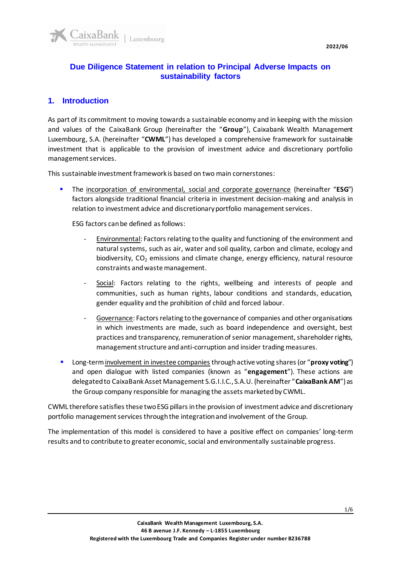

## **Due Diligence Statement in relation to Principal Adverse Impacts on sustainability factors**

## **1. Introduction**

As part of its commitment to moving towards a sustainable economy and in keeping with the mission and values of the CaixaBank Group (hereinafter the "**Group**"), Caixabank Wealth Management Luxembourg, S.A. (hereinafter "**CWML**") has developed a comprehensive framework for sustainable investment that is applicable to the provision of investment advice and discretionary portfolio management services.

This sustainable investment framework is based on two main cornerstones:

▪ The incorporation of environmental, social and corporate governance (hereinafter "**ESG**") factors alongside traditional financial criteria in investment decision-making and analysis in relation to investment advice and discretionary portfolio management services.

ESG factors can be defined as follows:

- Environmental: Factors relating to the quality and functioning of the environment and natural systems, such as air, water and soil quality, carbon and climate, ecology and biodiversity,  $CO<sub>2</sub>$  emissions and climate change, energy efficiency, natural resource constraints and waste management.
- Social: Factors relating to the rights, wellbeing and interests of people and communities, such as human rights, labour conditions and standards, education, gender equality and the prohibition of child and forced labour.
- Governance: Factors relating to the governance of companies and other organisations in which investments are made, such as board independence and oversight, best practices and transparency, remuneration of senior management, shareholder rights, management structure and anti-corruption and insider trading measures.
- Long-term involvement in investee companies through active voting shares (or "**proxy voting**") and open dialogue with listed companies (known as "**engagement**"). These actions are delegated to CaixaBank Asset Management S.G.I.I.C., S.A.U. (hereinafter "**CaixaBank AM**") as the Group company responsible for managing the assets marketed by CWML.

CWML therefore satisfies these two ESG pillars in the provision of investment advice and discretionary portfolio management services throughthe integration and involvement of the Group.

The implementation of this model is considered to have a positive effect on companies' long-term results and to contribute to greater economic, social and environmentally sustainable progress.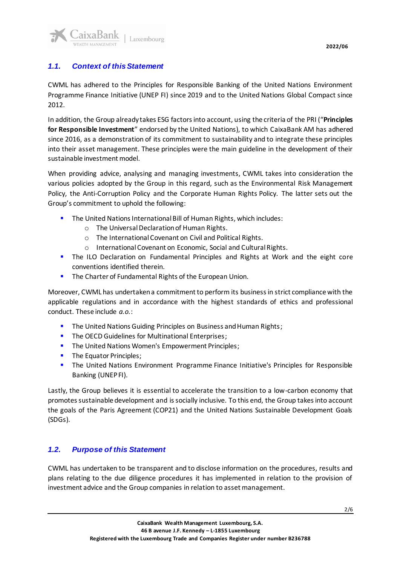

CWML has adhered to the Principles for Responsible Banking of the United Nations Environment Programme Finance Initiative (UNEP FI) since 2019 and to the United Nations Global Compact since 2012.

In addition, the Group already takes ESG factors into account, using the criteria of the PRI ("**Principles for Responsible Investment**" endorsed by the United Nations), to which CaixaBank AM has adhered since 2016, as a demonstration of its commitment to sustainability and to integrate these principles into their asset management. These principles were the main guideline in the development of their sustainable investment model.

When providing advice, analysing and managing investments, CWML takes into consideration the various policies adopted by the Group in this regard, such as the Environmental Risk Management Policy, the Anti-Corruption Policy and the Corporate Human Rights Policy. The latter sets out the Group's commitment to uphold the following:

- The United Nations International Bill of Human Rights, which includes:
	- o The Universal Declaration of Human Rights.
	- o The International Covenant on Civil and Political Rights.
	- o International Covenant on Economic, Social and Cultural Rights.
- **.** The ILO Declaration on Fundamental Principles and Rights at Work and the eight core conventions identified therein.
- **The Charter of Fundamental Rights of the European Union.**

Moreover, CWML has undertaken a commitment to perform its business in strict compliance with the applicable regulations and in accordance with the highest standards of ethics and professional conduct. These include *a.o.*:

- **The United Nations Guiding Principles on Business and Human Rights;**
- The OECD Guidelines for Multinational Enterprises;
- **·** The United Nations Women's Empowerment Principles;
- **•** The Equator Principles;
- **•** The United Nations Environment Programme Finance Initiative's Principles for Responsible Banking (UNEP FI).

Lastly, the Group believes it is essential to accelerate the transition to a low-carbon economy that promotes sustainable development and is socially inclusive. To this end, the Group takes into account the goals of the Paris Agreement (COP21) and the United Nations Sustainable Development Goals (SDGs).

## *1.2. Purpose of this Statement*

CWML has undertaken to be transparent and to disclose information on the procedures, results and plans relating to the due diligence procedures it has implemented in relation to the provision of investment advice and the Group companies in relation to asset management.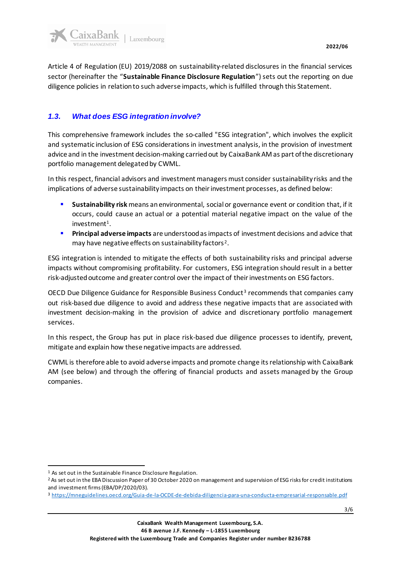

Article 4 of Regulation (EU) 2019/2088 on sustainability-related disclosures in the financial services sector (hereinafter the "**Sustainable Finance Disclosure Regulation**") sets out the reporting on due diligence policies in relation to such adverse impacts, which is fulfilled through this Statement.

## *1.3. What does ESG integration involve?*

This comprehensive framework includes the so-called "ESG integration", which involves the explicit and systematic inclusion of ESG considerations in investment analysis, in the provision of investment advice and in the investment decision-making carried out by CaixaBank AM as part of the discretionary portfolio management delegated by CWML.

In this respect, financial advisors and investment managers must consider sustainability risks and the implications of adverse sustainability impacts on their investment processes, as defined below:

- **Sustainability risk** means an environmental, social or governance event or condition that, if it occurs, could cause an actual or a potential material negative impact on the value of the investment<sup>1</sup>.
- **Principal adverse impacts** are understood as impacts of investment decisions and advice that may have negative effects on sustainability factors<sup>2</sup>.

ESG integration is intended to mitigate the effects of both sustainability risks and principal adverse impacts without compromising profitability. For customers, ESG integration should result in a better risk-adjusted outcome and greater control over the impact of their investments on ESG factors.

OECD Due Diligence Guidance for Responsible Business Conduct<sup>3</sup> recommends that companies carry out risk-based due diligence to avoid and address these negative impacts that are associated with investment decision-making in the provision of advice and discretionary portfolio management services.

In this respect, the Group has put in place risk-based due diligence processes to identify, prevent, mitigate and explain how these negative impacts are addressed.

CWML is therefore able to avoid adverse impacts and promote change its relationship with CaixaBank AM (see below) and through the offering of financial products and assets managed by the Group companies.

<sup>1</sup> As set out in the Sustainable Finance Disclosure Regulation.

<sup>&</sup>lt;sup>2</sup> As set out in the EBA Discussion Paper of 30 October 2020 on management and supervision of ESG risks for credit institutions and investment firms (EBA/DP/2020/03).

<sup>3</sup> <https://mneguidelines.oecd.org/Guia-de-la-OCDE-de-debida-diligencia-para-una-conducta-empresarial-responsable.pdf>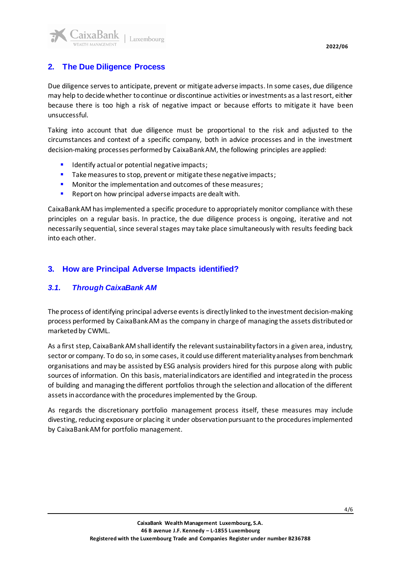

# **2. The Due Diligence Process**

Due diligence serves to anticipate, prevent or mitigate adverse impacts. In some cases, due diligence may help to decide whether to continue or discontinue activities or investments as a last resort, either because there is too high a risk of negative impact or because efforts to mitigate it have been unsuccessful.

Taking into account that due diligence must be proportional to the risk and adjusted to the circumstances and context of a specific company, both in advice processes and in the investment decision-making processes performed by CaixaBank AM, the following principles are applied:

- Identify actual or potential negative impacts;
- Take measures to stop, prevent or mitigate these negative impacts;
- Monitor the implementation and outcomes of these measures;
- Report on how principal adverse impacts are dealt with.

CaixaBank AM hasimplemented a specific procedure to appropriately monitor compliance with these principles on a regular basis. In practice, the due diligence process is ongoing, iterative and not necessarily sequential, since several stages may take place simultaneously with results feeding back into each other.

## **3. How are Principal Adverse Impacts identified?**

#### *3.1. Through CaixaBank AM*

The process of identifying principal adverse events is directly linked to the investment decision-making process performed by CaixaBank AM as the company in charge of managing the assets distributed or marketed by CWML.

As a first step, CaixaBank AM shall identify the relevant sustainability factors in a given area, industry, sector or company. To do so, in some cases, it could use different materiality analyses from benchmark organisations and may be assisted by ESG analysis providers hired for this purpose along with public sources of information. On this basis, material indicators are identified and integrated in the process of building and managing the different portfolios through the selection and allocation of the different assets in accordance with the procedures implemented by the Group.

As regards the discretionary portfolio management process itself, these measures may include divesting, reducing exposure or placing it under observation pursuant to the procedures implemented by CaixaBank AM for portfolio management.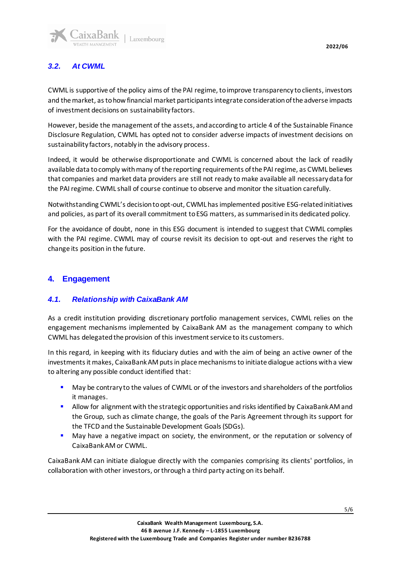

# *3.2. At CWML*

CWML is supportive of the policy aims of the PAI regime, to improve transparency to clients, investors and the market, as to how financial market participants integrate consideration of the adverse impacts of investment decisions on sustainability factors.

However, beside the management of the assets, and according to article 4 of the Sustainable Finance Disclosure Regulation, CWML has opted not to consider adverse impacts of investment decisions on sustainability factors, notably in the advisory process.

Indeed, it would be otherwise disproportionate and CWML is concerned about the lack of readily available data to comply with many of the reporting requirements of the PAI regime, as CWML believes that companies and market data providers are still not ready to make available all necessary data for the PAI regime. CWML shall of course continue to observe and monitor the situation carefully.

Notwithstanding CWML's decision to opt-out, CWML has implemented positive ESG-related initiatives and policies, as part of its overall commitment to ESG matters, as summarised in its dedicated policy.

For the avoidance of doubt, none in this ESG document is intended to suggest that CWML complies with the PAI regime. CWML may of course revisit its decision to opt-out and reserves the right to change its position in the future.

## **4. Engagement**

## *4.1. Relationship with CaixaBank AM*

As a credit institution providing discretionary portfolio management services, CWML relies on the engagement mechanisms implemented by CaixaBank AM as the management company to which CWML has delegated the provision of this investment service to its customers.

In this regard, in keeping with its fiduciary duties and with the aim of being an active owner of the investments it makes, CaixaBank AM puts in place mechanisms to initiate dialogue actions with a view to altering any possible conduct identified that:

- **■** May be contrary to the values of CWML or of the investors and shareholders of the portfolios it manages.
- Allow for alignment with the strategic opportunities and risks identified by CaixaBank AM and the Group, such as climate change, the goals of the Paris Agreement through its support for the TFCD and the Sustainable Development Goals (SDGs).
- May have a negative impact on society, the environment, or the reputation or solvency of CaixaBank AM or CWML.

CaixaBank AM can initiate dialogue directly with the companies comprising its clients' portfolios, in collaboration with other investors, or through a third party acting on its behalf.